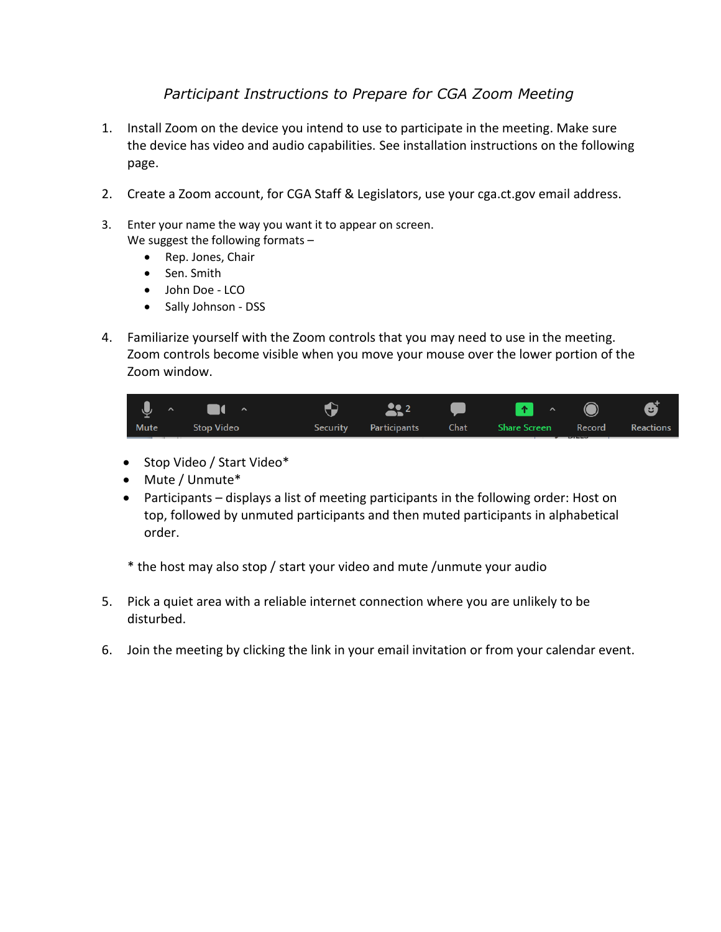## *Participant Instructions to Prepare for CGA Zoom Meeting*

- 1. Install Zoom on the device you intend to use to participate in the meeting. Make sure the device has video and audio capabilities. See installation instructions on the following page.
- 2. Create a Zoom account, for CGA Staff & Legislators, use your cga.ct.gov email address.
- 3. Enter your name the way you want it to appear on screen. We suggest the following formats –
	- Rep. Jones, Chair
	- Sen. Smith
	- John Doe LCO
	- Sally Johnson DSS
- 4. Familiarize yourself with the Zoom controls that you may need to use in the meeting. Zoom controls become visible when you move your mouse over the lower portion of the Zoom window.

| $\sqrt{2}$ | $\blacksquare$    | $\frac{202}{200}$     |                                    | $\bullet$ $\bullet$ $\bullet$ $\bullet$ |  |
|------------|-------------------|-----------------------|------------------------------------|-----------------------------------------|--|
| Mute       | <b>Stop Video</b> | Security Participants | Chat Share Screen Record Reactions |                                         |  |

- Stop Video / Start Video\*
- Mute / Unmute\*
- Participants displays a list of meeting participants in the following order: Host on top, followed by unmuted participants and then muted participants in alphabetical order.

\* the host may also stop / start your video and mute /unmute your audio

- 5. Pick a quiet area with a reliable internet connection where you are unlikely to be disturbed.
- 6. Join the meeting by clicking the link in your email invitation or from your calendar event.